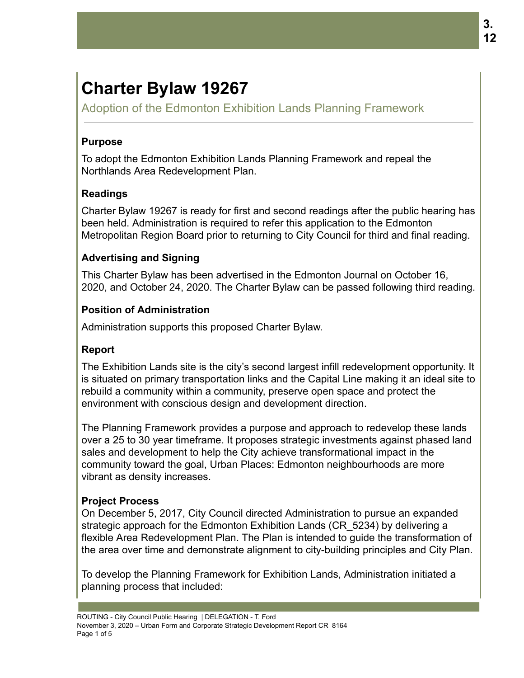# **Charter Bylaw 19267**

Adoption of the Edmonton Exhibition Lands Planning Framework

## **Purpose**

To adopt the Edmonton Exhibition Lands Planning Framework and repeal the Northlands Area Redevelopment Plan.

# **Readings**

Charter Bylaw 19267 is ready for first and second readings after the public hearing has been held. Administration is required to refer this application to the Edmonton Metropolitan Region Board prior to returning to City Council for third and final reading.

# **Advertising and Signing**

This Charter Bylaw has been advertised in the Edmonton Journal on October 16, 2020, and October 24, 2020. The Charter Bylaw can be passed following third reading.

## **Position of Administration**

Administration supports this proposed Charter Bylaw.

## **Report**

The Exhibition Lands site is the city's second largest infill redevelopment opportunity. It is situated on primary transportation links and the Capital Line making it an ideal site to rebuild a community within a community, preserve open space and protect the environment with conscious design and development direction.

The Planning Framework provides a purpose and approach to redevelop these lands over a 25 to 30 year timeframe. It proposes strategic investments against phased land sales and development to help the City achieve transformational impact in the community toward the goal, Urban Places: Edmonton neighbourhoods are more vibrant as density increases.

## **Project Process**

On December 5, 2017, City Council directed Administration to pursue an expanded strategic approach for the Edmonton Exhibition Lands (CR\_5234) by delivering a flexible Area Redevelopment Plan. The Plan is intended to guide the transformation of the area over time and demonstrate alignment to city-building principles and City Plan.

To develop the Planning Framework for Exhibition Lands, Administration initiated a planning process that included: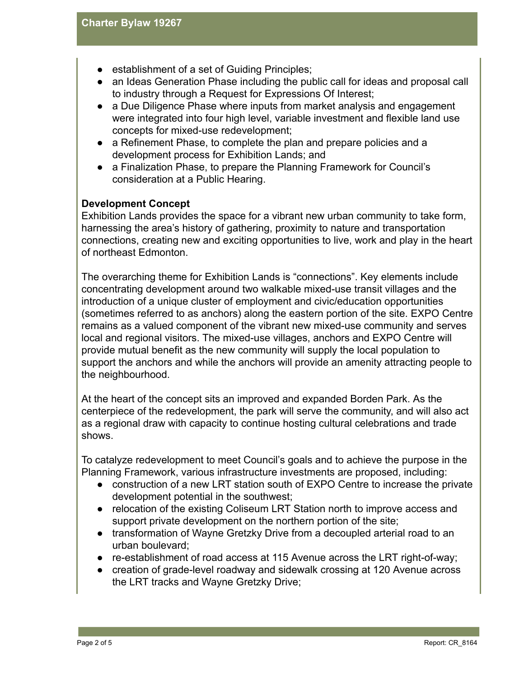- establishment of a set of Guiding Principles;
- an Ideas Generation Phase including the public call for ideas and proposal call to industry through a Request for Expressions Of Interest;
- a Due Diligence Phase where inputs from market analysis and engagement were integrated into four high level, variable investment and flexible land use concepts for mixed-use redevelopment;
- a Refinement Phase, to complete the plan and prepare policies and a development process for Exhibition Lands; and
- a Finalization Phase, to prepare the Planning Framework for Council's consideration at a Public Hearing.

#### **Development Concept**

Exhibition Lands provides the space for a vibrant new urban community to take form, harnessing the area's history of gathering, proximity to nature and transportation connections, creating new and exciting opportunities to live, work and play in the heart of northeast Edmonton.

The overarching theme for Exhibition Lands is "connections". Key elements include concentrating development around two walkable mixed-use transit villages and the introduction of a unique cluster of employment and civic/education opportunities (sometimes referred to as anchors) along the eastern portion of the site. EXPO Centre remains as a valued component of the vibrant new mixed-use community and serves local and regional visitors. The mixed-use villages, anchors and EXPO Centre will provide mutual benefit as the new community will supply the local population to support the anchors and while the anchors will provide an amenity attracting people to the neighbourhood.

At the heart of the concept sits an improved and expanded Borden Park. As the centerpiece of the redevelopment, the park will serve the community, and will also act as a regional draw with capacity to continue hosting cultural celebrations and trade shows.

To catalyze redevelopment to meet Council's goals and to achieve the purpose in the Planning Framework, various infrastructure investments are proposed, including:

- construction of a new LRT station south of EXPO Centre to increase the private development potential in the southwest;
- relocation of the existing Coliseum LRT Station north to improve access and support private development on the northern portion of the site;
- transformation of Wayne Gretzky Drive from a decoupled arterial road to an urban boulevard;
- re-establishment of road access at 115 Avenue across the LRT right-of-way;
- creation of grade-level roadway and sidewalk crossing at 120 Avenue across the LRT tracks and Wayne Gretzky Drive;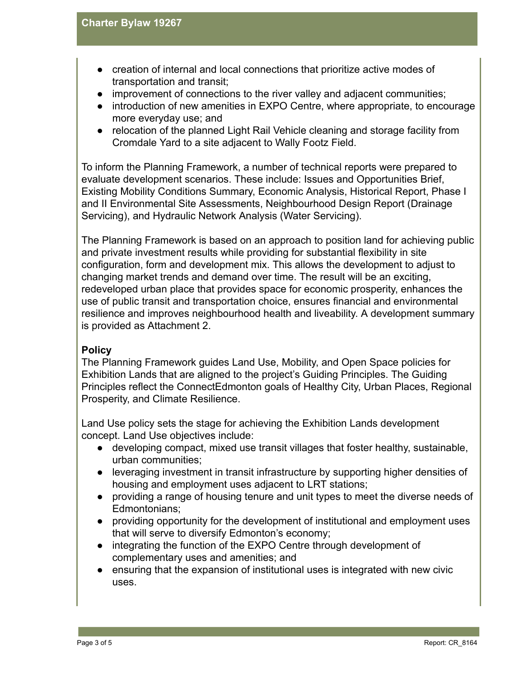- creation of internal and local connections that prioritize active modes of transportation and transit;
- improvement of connections to the river valley and adjacent communities;
- introduction of new amenities in EXPO Centre, where appropriate, to encourage more everyday use; and
- relocation of the planned Light Rail Vehicle cleaning and storage facility from Cromdale Yard to a site adjacent to Wally Footz Field.

To inform the Planning Framework, a number of technical reports were prepared to evaluate development scenarios. These include: Issues and Opportunities Brief, Existing Mobility Conditions Summary, Economic Analysis, Historical Report, Phase I and II Environmental Site Assessments, Neighbourhood Design Report (Drainage Servicing), and Hydraulic Network Analysis (Water Servicing).

The Planning Framework is based on an approach to position land for achieving public and private investment results while providing for substantial flexibility in site configuration, form and development mix. This allows the development to adjust to changing market trends and demand over time. The result will be an exciting, redeveloped urban place that provides space for economic prosperity, enhances the use of public transit and transportation choice, ensures financial and environmental resilience and improves neighbourhood health and liveability. A development summary is provided as Attachment 2.

## **Policy**

The Planning Framework guides Land Use, Mobility, and Open Space policies for Exhibition Lands that are aligned to the project's Guiding Principles. The Guiding Principles reflect the ConnectEdmonton goals of Healthy City, Urban Places, Regional Prosperity, and Climate Resilience.

Land Use policy sets the stage for achieving the Exhibition Lands development concept. Land Use objectives include:

- developing compact, mixed use transit villages that foster healthy, sustainable, urban communities;
- leveraging investment in transit infrastructure by supporting higher densities of housing and employment uses adjacent to LRT stations;
- providing a range of housing tenure and unit types to meet the diverse needs of Edmontonians;
- providing opportunity for the development of institutional and employment uses that will serve to diversify Edmonton's economy;
- integrating the function of the EXPO Centre through development of complementary uses and amenities; and
- ensuring that the expansion of institutional uses is integrated with new civic uses.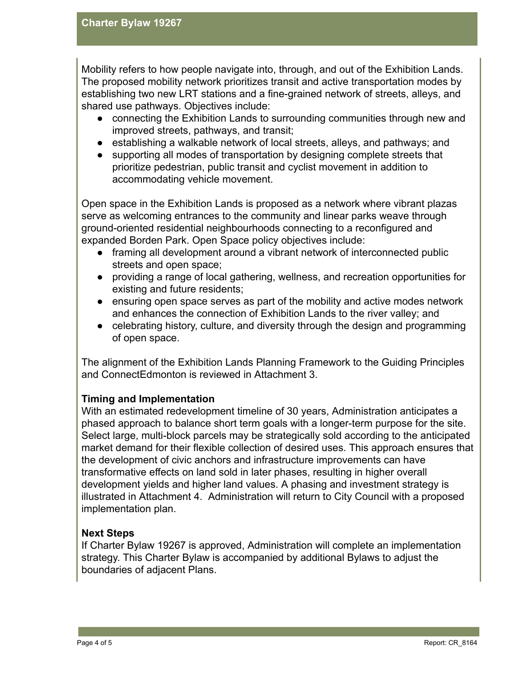Mobility refers to how people navigate into, through, and out of the Exhibition Lands. The proposed mobility network prioritizes transit and active transportation modes by establishing two new LRT stations and a fine-grained network of streets, alleys, and shared use pathways. Objectives include:

- connecting the Exhibition Lands to surrounding communities through new and improved streets, pathways, and transit;
- establishing a walkable network of local streets, alleys, and pathways; and
- supporting all modes of transportation by designing complete streets that prioritize pedestrian, public transit and cyclist movement in addition to accommodating vehicle movement.

Open space in the Exhibition Lands is proposed as a network where vibrant plazas serve as welcoming entrances to the community and linear parks weave through ground-oriented residential neighbourhoods connecting to a reconfigured and expanded Borden Park. Open Space policy objectives include:

- framing all development around a vibrant network of interconnected public streets and open space;
- providing a range of local gathering, wellness, and recreation opportunities for existing and future residents;
- ensuring open space serves as part of the mobility and active modes network and enhances the connection of Exhibition Lands to the river valley; and
- celebrating history, culture, and diversity through the design and programming of open space.

The alignment of the Exhibition Lands Planning Framework to the Guiding Principles and ConnectEdmonton is reviewed in Attachment 3.

## **Timing and Implementation**

With an estimated redevelopment timeline of 30 years, Administration anticipates a phased approach to balance short term goals with a longer-term purpose for the site. Select large, multi-block parcels may be strategically sold according to the anticipated market demand for their flexible collection of desired uses. This approach ensures that the development of civic anchors and infrastructure improvements can have transformative effects on land sold in later phases, resulting in higher overall development yields and higher land values. A phasing and investment strategy is illustrated in Attachment 4. Administration will return to City Council with a proposed implementation plan.

#### **Next Steps**

If Charter Bylaw 19267 is approved, Administration will complete an implementation strategy. This Charter Bylaw is accompanied by additional Bylaws to adjust the boundaries of adjacent Plans.